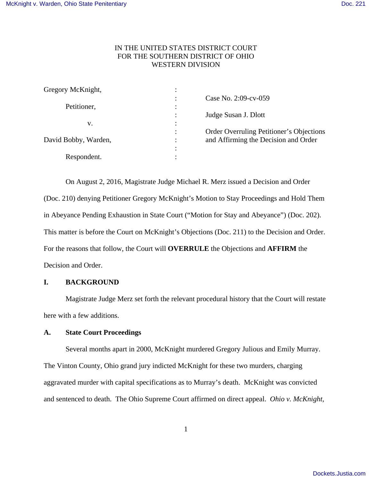# IN THE UNITED STATES DISTRICT COURT FOR THE SOUTHERN DISTRICT OF OHIO WESTERN DIVISION

|                | Case No. 2:09-cv-059                     |
|----------------|------------------------------------------|
| ٠<br>$\bullet$ |                                          |
|                | Judge Susan J. Dlott                     |
| ٠              |                                          |
|                | Order Overruling Petitioner's Objections |
| ٠              | and Affirming the Decision and Order     |
| $\bullet$      |                                          |
|                |                                          |
|                |                                          |

 On August 2, 2016, Magistrate Judge Michael R. Merz issued a Decision and Order (Doc. 210) denying Petitioner Gregory McKnight's Motion to Stay Proceedings and Hold Them in Abeyance Pending Exhaustion in State Court ("Motion for Stay and Abeyance") (Doc. 202). This matter is before the Court on McKnight's Objections (Doc. 211) to the Decision and Order. For the reasons that follow, the Court will **OVERRULE** the Objections and **AFFIRM** the Decision and Order.

## **I. BACKGROUND**

 Magistrate Judge Merz set forth the relevant procedural history that the Court will restate here with a few additions.

# **A. State Court Proceedings**

 Several months apart in 2000, McKnight murdered Gregory Julious and Emily Murray. The Vinton County, Ohio grand jury indicted McKnight for these two murders, charging aggravated murder with capital specifications as to Murray's death. McKnight was convicted and sentenced to death. The Ohio Supreme Court affirmed on direct appeal. *Ohio v. McKnight*,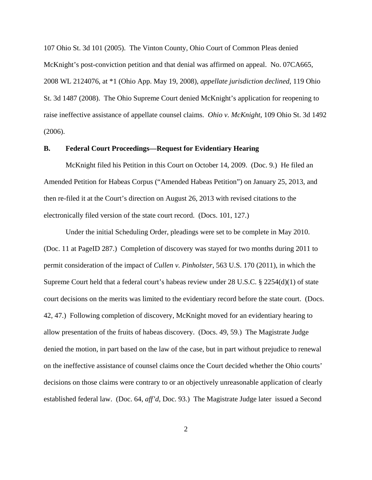107 Ohio St. 3d 101 (2005). The Vinton County, Ohio Court of Common Pleas denied McKnight's post-conviction petition and that denial was affirmed on appeal. No. 07CA665, 2008 WL 2124076, at \*1 (Ohio App. May 19, 2008), *appellate jurisdiction declined*, 119 Ohio St. 3d 1487 (2008). The Ohio Supreme Court denied McKnight's application for reopening to raise ineffective assistance of appellate counsel claims. *Ohio v. McKnight*, 109 Ohio St. 3d 1492 (2006).

## **B. Federal Court Proceedings—Request for Evidentiary Hearing**

 McKnight filed his Petition in this Court on October 14, 2009. (Doc. 9.) He filed an Amended Petition for Habeas Corpus ("Amended Habeas Petition") on January 25, 2013, and then re-filed it at the Court's direction on August 26, 2013 with revised citations to the electronically filed version of the state court record. (Docs. 101, 127.)

 Under the initial Scheduling Order, pleadings were set to be complete in May 2010. (Doc. 11 at PageID 287.) Completion of discovery was stayed for two months during 2011 to permit consideration of the impact of *Cullen v. Pinholster*, 563 U.S. 170 (2011), in which the Supreme Court held that a federal court's habeas review under 28 U.S.C. § 2254(d)(1) of state court decisions on the merits was limited to the evidentiary record before the state court. (Docs. 42, 47.) Following completion of discovery, McKnight moved for an evidentiary hearing to allow presentation of the fruits of habeas discovery. (Docs. 49, 59.) The Magistrate Judge denied the motion, in part based on the law of the case, but in part without prejudice to renewal on the ineffective assistance of counsel claims once the Court decided whether the Ohio courts' decisions on those claims were contrary to or an objectively unreasonable application of clearly established federal law. (Doc. 64, *aff'd*, Doc. 93.) The Magistrate Judge later issued a Second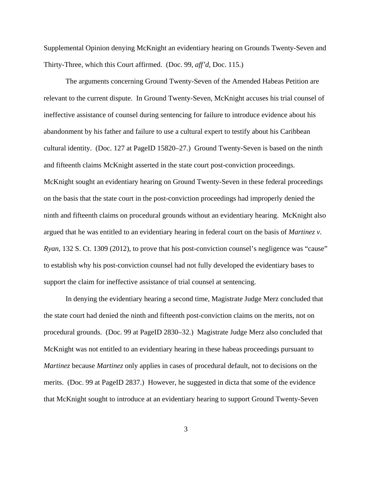Supplemental Opinion denying McKnight an evidentiary hearing on Grounds Twenty-Seven and Thirty-Three, which this Court affirmed. (Doc. 99, *aff'd*, Doc. 115.)

 The arguments concerning Ground Twenty-Seven of the Amended Habeas Petition are relevant to the current dispute. In Ground Twenty-Seven, McKnight accuses his trial counsel of ineffective assistance of counsel during sentencing for failure to introduce evidence about his abandonment by his father and failure to use a cultural expert to testify about his Caribbean cultural identity. (Doc. 127 at PageID 15820–27.) Ground Twenty-Seven is based on the ninth and fifteenth claims McKnight asserted in the state court post-conviction proceedings. McKnight sought an evidentiary hearing on Ground Twenty-Seven in these federal proceedings on the basis that the state court in the post-conviction proceedings had improperly denied the ninth and fifteenth claims on procedural grounds without an evidentiary hearing. McKnight also argued that he was entitled to an evidentiary hearing in federal court on the basis of *Martinez v. Ryan*, 132 S. Ct. 1309 (2012), to prove that his post-conviction counsel's negligence was "cause" to establish why his post-conviction counsel had not fully developed the evidentiary bases to support the claim for ineffective assistance of trial counsel at sentencing.

 In denying the evidentiary hearing a second time, Magistrate Judge Merz concluded that the state court had denied the ninth and fifteenth post-conviction claims on the merits, not on procedural grounds. (Doc. 99 at PageID 2830–32.) Magistrate Judge Merz also concluded that McKnight was not entitled to an evidentiary hearing in these habeas proceedings pursuant to *Martinez* because *Martinez* only applies in cases of procedural default, not to decisions on the merits. (Doc. 99 at PageID 2837.) However, he suggested in dicta that some of the evidence that McKnight sought to introduce at an evidentiary hearing to support Ground Twenty-Seven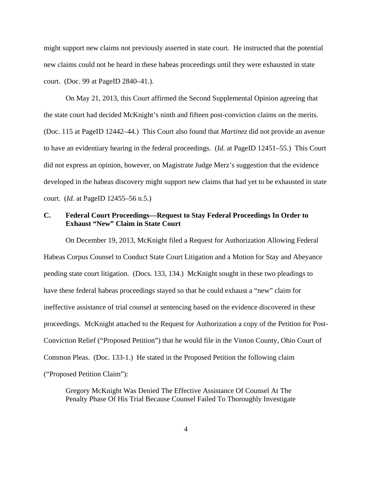might support new claims not previously asserted in state court. He instructed that the potential new claims could not be heard in these habeas proceedings until they were exhausted in state court. (Doc. 99 at PageID 2840–41.).

 On May 21, 2013, this Court affirmed the Second Supplemental Opinion agreeing that the state court had decided McKnight's ninth and fifteen post-conviction claims on the merits. (Doc. 115 at PageID 12442–44.) This Court also found that *Martinez* did not provide an avenue to have an evidentiary hearing in the federal proceedings. (*Id.* at PageID 12451–55.) This Court did not express an opinion, however, on Magistrate Judge Merz's suggestion that the evidence developed in the habeas discovery might support new claims that had yet to be exhausted in state court. (*Id.* at PageID 12455–56 n.5.)

## **C. Federal Court Proceedings—Request to Stay Federal Proceedings In Order to Exhaust "New" Claim in State Court**

 On December 19, 2013, McKnight filed a Request for Authorization Allowing Federal Habeas Corpus Counsel to Conduct State Court Litigation and a Motion for Stay and Abeyance pending state court litigation. (Docs. 133, 134.) McKnight sought in these two pleadings to have these federal habeas proceedings stayed so that he could exhaust a "new" claim for ineffective assistance of trial counsel at sentencing based on the evidence discovered in these proceedings. McKnight attached to the Request for Authorization a copy of the Petition for Post-Conviction Relief ("Proposed Petition") that he would file in the Vinton County, Ohio Court of Common Pleas. (Doc. 133-1.) He stated in the Proposed Petition the following claim ("Proposed Petition Claim"):

Gregory McKnight Was Denied The Effective Assistance Of Counsel At The Penalty Phase Of His Trial Because Counsel Failed To Thoroughly Investigate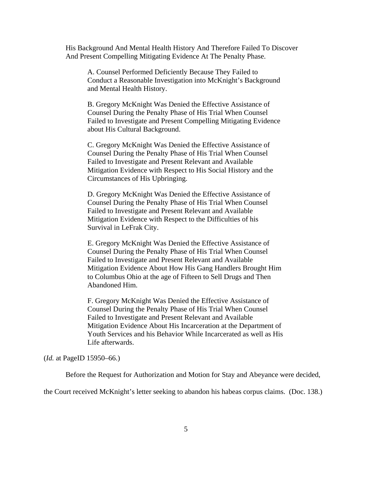His Background And Mental Health History And Therefore Failed To Discover And Present Compelling Mitigating Evidence At The Penalty Phase.

A. Counsel Performed Deficiently Because They Failed to Conduct a Reasonable Investigation into McKnight's Background and Mental Health History.

B. Gregory McKnight Was Denied the Effective Assistance of Counsel During the Penalty Phase of His Trial When Counsel Failed to Investigate and Present Compelling Mitigating Evidence about His Cultural Background.

C. Gregory McKnight Was Denied the Effective Assistance of Counsel During the Penalty Phase of His Trial When Counsel Failed to Investigate and Present Relevant and Available Mitigation Evidence with Respect to His Social History and the Circumstances of His Upbringing.

D. Gregory McKnight Was Denied the Effective Assistance of Counsel During the Penalty Phase of His Trial When Counsel Failed to Investigate and Present Relevant and Available Mitigation Evidence with Respect to the Difficulties of his Survival in LeFrak City.

E. Gregory McKnight Was Denied the Effective Assistance of Counsel During the Penalty Phase of His Trial When Counsel Failed to Investigate and Present Relevant and Available Mitigation Evidence About How His Gang Handlers Brought Him to Columbus Ohio at the age of Fifteen to Sell Drugs and Then Abandoned Him.

F. Gregory McKnight Was Denied the Effective Assistance of Counsel During the Penalty Phase of His Trial When Counsel Failed to Investigate and Present Relevant and Available Mitigation Evidence About His Incarceration at the Department of Youth Services and his Behavior While Incarcerated as well as His Life afterwards.

## (*Id.* at PageID 15950–66.)

Before the Request for Authorization and Motion for Stay and Abeyance were decided,

the Court received McKnight's letter seeking to abandon his habeas corpus claims. (Doc. 138.)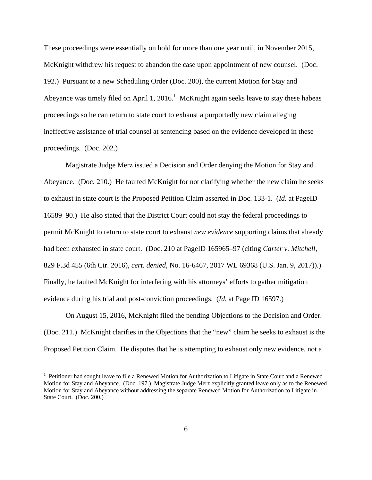These proceedings were essentially on hold for more than one year until, in November 2015, McKnight withdrew his request to abandon the case upon appointment of new counsel. (Doc. 192.) Pursuant to a new Scheduling Order (Doc. 200), the current Motion for Stay and Abeyance was timely filed on April 1,  $2016$ .<sup>1</sup> McKnight again seeks leave to stay these habeas proceedings so he can return to state court to exhaust a purportedly new claim alleging ineffective assistance of trial counsel at sentencing based on the evidence developed in these proceedings. (Doc. 202.)

 Magistrate Judge Merz issued a Decision and Order denying the Motion for Stay and Abeyance. (Doc. 210.) He faulted McKnight for not clarifying whether the new claim he seeks to exhaust in state court is the Proposed Petition Claim asserted in Doc. 133-1. (*Id.* at PageID 16589–90.) He also stated that the District Court could not stay the federal proceedings to permit McKnight to return to state court to exhaust *new evidence* supporting claims that already had been exhausted in state court. (Doc. 210 at PageID 165965–97 (citing *Carter v. Mitchell*, 829 F.3d 455 (6th Cir. 2016), *cert. denied*, No. 16-6467, 2017 WL 69368 (U.S. Jan. 9, 2017)).) Finally, he faulted McKnight for interfering with his attorneys' efforts to gather mitigation evidence during his trial and post-conviction proceedings. (*Id.* at Page ID 16597.)

 On August 15, 2016, McKnight filed the pending Objections to the Decision and Order. (Doc. 211.) McKnight clarifies in the Objections that the "new" claim he seeks to exhaust is the Proposed Petition Claim. He disputes that he is attempting to exhaust only new evidence, not a

<u>.</u>

<sup>&</sup>lt;sup>1</sup> Petitioner had sought leave to file a Renewed Motion for Authorization to Litigate in State Court and a Renewed Motion for Stay and Abeyance. (Doc. 197.) Magistrate Judge Merz explicitly granted leave only as to the Renewed Motion for Stay and Abeyance without addressing the separate Renewed Motion for Authorization to Litigate in State Court. (Doc. 200.)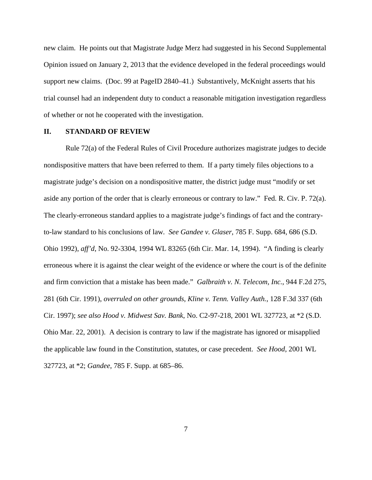new claim. He points out that Magistrate Judge Merz had suggested in his Second Supplemental Opinion issued on January 2, 2013 that the evidence developed in the federal proceedings would support new claims. (Doc. 99 at PageID 2840–41.) Substantively, McKnight asserts that his trial counsel had an independent duty to conduct a reasonable mitigation investigation regardless of whether or not he cooperated with the investigation.

## **II. STANDARD OF REVIEW**

 Rule 72(a) of the Federal Rules of Civil Procedure authorizes magistrate judges to decide nondispositive matters that have been referred to them. If a party timely files objections to a magistrate judge's decision on a nondispositive matter, the district judge must "modify or set aside any portion of the order that is clearly erroneous or contrary to law." Fed. R. Civ. P. 72(a). The clearly-erroneous standard applies to a magistrate judge's findings of fact and the contraryto-law standard to his conclusions of law*. See Gandee v. Glaser*, 785 F. Supp. 684, 686 (S.D. Ohio 1992), *aff'd*, No. 92-3304, 1994 WL 83265 (6th Cir. Mar. 14, 1994). "A finding is clearly erroneous where it is against the clear weight of the evidence or where the court is of the definite and firm conviction that a mistake has been made." *Galbraith v. N. Telecom, Inc.*, 944 F.2d 275, 281 (6th Cir. 1991), *overruled on other grounds*, *Kline v. Tenn. Valley Auth.*, 128 F.3d 337 (6th Cir. 1997); *see also Hood v. Midwest Sav. Bank*, No. C2-97-218, 2001 WL 327723, at \*2 (S.D. Ohio Mar. 22, 2001). A decision is contrary to law if the magistrate has ignored or misapplied the applicable law found in the Constitution, statutes, or case precedent. *See Hood*, 2001 WL 327723, at \*2; *Gandee*, 785 F. Supp. at 685–86.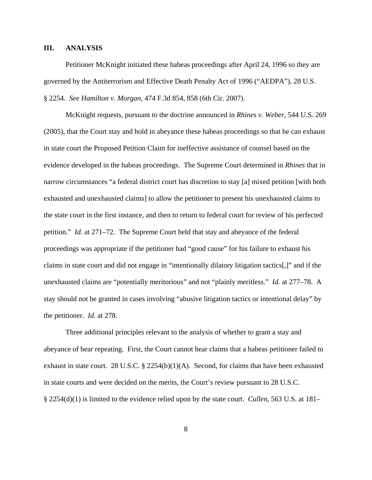## **III. ANALYSIS**

 Petitioner McKnight initiated these habeas proceedings after April 24, 1996 so they are governed by the Antiterrorism and Effective Death Penalty Act of 1996 ("AEDPA"), 28 U.S. § 2254. *See Hamilton v. Morgan*, 474 F.3d 854, 858 (6th Cir. 2007).

 McKnight requests, pursuant to the doctrine announced in *Rhines v. Weber*, 544 U.S. 269 (2005), that the Court stay and hold in abeyance these habeas proceedings so that he can exhaust in state court the Proposed Petition Claim for ineffective assistance of counsel based on the evidence developed in the habeas proceedings. The Supreme Court determined in *Rhines* that in narrow circumstances "a federal district court has discretion to stay [a] mixed petition [with both exhausted and unexhausted claims] to allow the petitioner to present his unexhausted claims to the state court in the first instance, and then to return to federal court for review of his perfected petition." *Id.* at 271–72. The Supreme Court held that stay and abeyance of the federal proceedings was appropriate if the petitioner had "good cause" for his failure to exhaust his claims in state court and did not engage in "intentionally dilatory litigation tactics[,]" and if the unexhausted claims are "potentially meritorious" and not "plainly meritless." *Id.* at 277–78. A stay should not be granted in cases involving "abusive litigation tactics or intentional delay" by the petitioner. *Id.* at 278.

Three additional principles relevant to the analysis of whether to grant a stay and abeyance of bear repeating. First, the Court cannot hear claims that a habeas petitioner failed to exhaust in state court. 28 U.S.C. § 2254(b)(1)(A). Second, for claims that have been exhausted in state courts and were decided on the merits, the Court's review pursuant to 28 U.S.C. § 2254(d)(1) is limited to the evidence relied upon by the state court. *Cullen*, 563 U.S. at 181–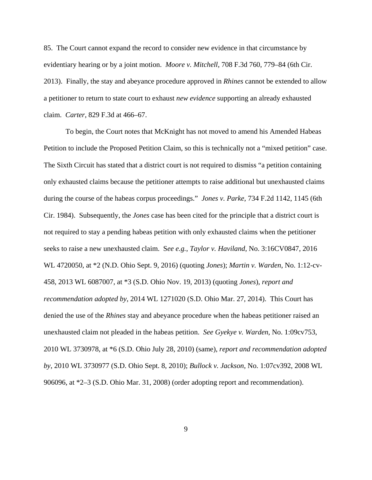85. The Court cannot expand the record to consider new evidence in that circumstance by evidentiary hearing or by a joint motion. *Moore v. Mitchell*, 708 F.3d 760, 779–84 (6th Cir. 2013). Finally, the stay and abeyance procedure approved in *Rhines* cannot be extended to allow a petitioner to return to state court to exhaust *new evidence* supporting an already exhausted claim. *Carter*, 829 F.3d at 466–67.

 To begin, the Court notes that McKnight has not moved to amend his Amended Habeas Petition to include the Proposed Petition Claim, so this is technically not a "mixed petition" case. The Sixth Circuit has stated that a district court is not required to dismiss "a petition containing only exhausted claims because the petitioner attempts to raise additional but unexhausted claims during the course of the habeas corpus proceedings." *Jones v. Parke*, 734 F.2d 1142, 1145 (6th Cir. 1984). Subsequently, the *Jones* case has been cited for the principle that a district court is not required to stay a pending habeas petition with only exhausted claims when the petitioner seeks to raise a new unexhausted claim. S*ee e.g.*, *Taylor v. Haviland*, No. 3:16CV0847, 2016 WL 4720050, at \*2 (N.D. Ohio Sept. 9, 2016) (quoting *Jones*); *Martin v. Warden*, No. 1:12-cv-458, 2013 WL 6087007, at \*3 (S.D. Ohio Nov. 19, 2013) (quoting *Jones*), *report and recommendation adopted by*, 2014 WL 1271020 (S.D. Ohio Mar. 27, 2014). This Court has denied the use of the *Rhines* stay and abeyance procedure when the habeas petitioner raised an unexhausted claim not pleaded in the habeas petition. *See Gyekye v. Warden*, No. 1:09cv753, 2010 WL 3730978, at \*6 (S.D. Ohio July 28, 2010) (same), *report and recommendation adopted by*, 2010 WL 3730977 (S.D. Ohio Sept. 8, 2010); *Bullock v. Jackson*, No. 1:07cv392, 2008 WL 906096, at \*2–3 (S.D. Ohio Mar. 31, 2008) (order adopting report and recommendation).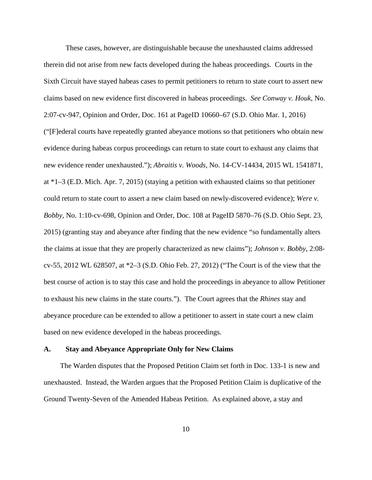These cases, however, are distinguishable because the unexhausted claims addressed therein did not arise from new facts developed during the habeas proceedings. Courts in the Sixth Circuit have stayed habeas cases to permit petitioners to return to state court to assert new claims based on new evidence first discovered in habeas proceedings. *See Conway v. Houk*, No. 2:07-cv-947, Opinion and Order, Doc. 161 at PageID 10660–67 (S.D. Ohio Mar. 1, 2016) ("[F]ederal courts have repeatedly granted abeyance motions so that petitioners who obtain new evidence during habeas corpus proceedings can return to state court to exhaust any claims that new evidence render unexhausted."); *Abraitis v. Woods*, No. 14-CV-14434, 2015 WL 1541871, at \*1–3 (E.D. Mich. Apr. 7, 2015) (staying a petition with exhausted claims so that petitioner could return to state court to assert a new claim based on newly-discovered evidence); *Were v. Bobby*, No. 1:10-cv-698, Opinion and Order, Doc. 108 at PageID 5870–76 (S.D. Ohio Sept. 23, 2015) (granting stay and abeyance after finding that the new evidence "so fundamentally alters the claims at issue that they are properly characterized as new claims"); *Johnson v. Bobby*, 2:08 cv-55, 2012 WL 628507, at \*2–3 (S.D. Ohio Feb. 27, 2012) ("The Court is of the view that the best course of action is to stay this case and hold the proceedings in abeyance to allow Petitioner to exhaust his new claims in the state courts."). The Court agrees that the *Rhines* stay and abeyance procedure can be extended to allow a petitioner to assert in state court a new claim based on new evidence developed in the habeas proceedings.

#### **A. Stay and Abeyance Appropriate Only for New Claims**

 The Warden disputes that the Proposed Petition Claim set forth in Doc. 133-1 is new and unexhausted. Instead, the Warden argues that the Proposed Petition Claim is duplicative of the Ground Twenty-Seven of the Amended Habeas Petition. As explained above, a stay and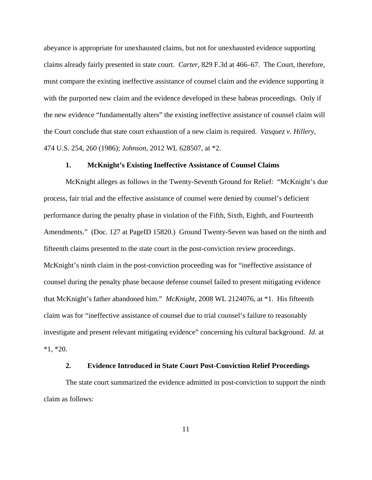abeyance is appropriate for unexhausted claims, but not for unexhausted evidence supporting claims already fairly presented in state court. *Carter*, 829 F.3d at 466–67. The Court, therefore, must compare the existing ineffective assistance of counsel claim and the evidence supporting it with the purported new claim and the evidence developed in these habeas proceedings. Only if the new evidence "fundamentally alters" the existing ineffective assistance of counsel claim will the Court conclude that state court exhaustion of a new claim is required. *Vasquez v. Hillery*, 474 U.S. 254, 260 (1986); *Johnson*, 2012 WL 628507, at \*2.

## **1. McKnight's Existing Ineffective Assistance of Counsel Claims**

 McKnight alleges as follows in the Twenty-Seventh Ground for Relief: "McKnight's due process, fair trial and the effective assistance of counsel were denied by counsel's deficient performance during the penalty phase in violation of the Fifth, Sixth, Eighth, and Fourteenth Amendments." (Doc. 127 at PageID 15820.) Ground Twenty-Seven was based on the ninth and fifteenth claims presented to the state court in the post-conviction review proceedings. McKnight's ninth claim in the post-conviction proceeding was for "ineffective assistance of counsel during the penalty phase because defense counsel failed to present mitigating evidence that McKnight's father abandoned him." *McKnight*, 2008 WL 2124076, at \*1.His fifteenth claim was for "ineffective assistance of counsel due to trial counsel's failure to reasonably investigate and present relevant mitigating evidence" concerning his cultural background. *Id.* at  $*1, *20.$ 

## **2. Evidence Introduced in State Court Post-Conviction Relief Proceedings**

 The state court summarized the evidence admitted in post-conviction to support the ninth claim as follows: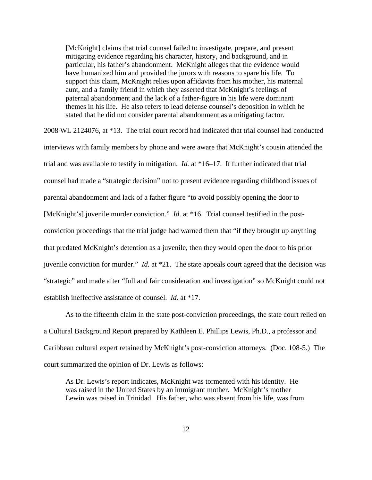[McKnight] claims that trial counsel failed to investigate, prepare, and present mitigating evidence regarding his character, history, and background, and in particular, his father's abandonment. McKnight alleges that the evidence would have humanized him and provided the jurors with reasons to spare his life. To support this claim, McKnight relies upon affidavits from his mother, his maternal aunt, and a family friend in which they asserted that McKnight's feelings of paternal abandonment and the lack of a father-figure in his life were dominant themes in his life. He also refers to lead defense counsel's deposition in which he stated that he did not consider parental abandonment as a mitigating factor.

2008 WL 2124076, at \*13. The trial court record had indicated that trial counsel had conducted interviews with family members by phone and were aware that McKnight's cousin attended the trial and was available to testify in mitigation. *Id.* at \*16–17. It further indicated that trial counsel had made a "strategic decision" not to present evidence regarding childhood issues of parental abandonment and lack of a father figure "to avoid possibly opening the door to [McKnight's] juvenile murder conviction." *Id.* at \*16. Trial counsel testified in the postconviction proceedings that the trial judge had warned them that "if they brought up anything that predated McKnight's detention as a juvenile, then they would open the door to his prior juvenile conviction for murder." *Id.* at \*21. The state appeals court agreed that the decision was "strategic" and made after "full and fair consideration and investigation" so McKnight could not establish ineffective assistance of counsel. *Id.* at \*17.

 As to the fifteenth claim in the state post-conviction proceedings, the state court relied on a Cultural Background Report prepared by Kathleen E. Phillips Lewis, Ph.D., a professor and Caribbean cultural expert retained by McKnight's post-conviction attorneys. (Doc. 108-5.) The court summarized the opinion of Dr. Lewis as follows:

As Dr. Lewis's report indicates, McKnight was tormented with his identity. He was raised in the United States by an immigrant mother. McKnight's mother Lewin was raised in Trinidad. His father, who was absent from his life, was from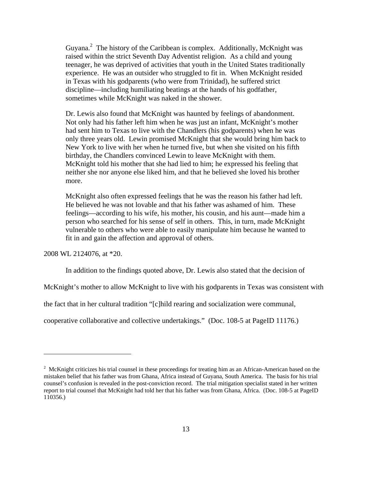Guyana.<sup>2</sup> The history of the Caribbean is complex. Additionally, McKnight was raised within the strict Seventh Day Adventist religion. As a child and young teenager, he was deprived of activities that youth in the United States traditionally experience. He was an outsider who struggled to fit in. When McKnight resided in Texas with his godparents (who were from Trinidad), he suffered strict discipline—including humiliating beatings at the hands of his godfather, sometimes while McKnight was naked in the shower.

Dr. Lewis also found that McKnight was haunted by feelings of abandonment. Not only had his father left him when he was just an infant, McKnight's mother had sent him to Texas to live with the Chandlers (his godparents) when he was only three years old. Lewin promised McKnight that she would bring him back to New York to live with her when he turned five, but when she visited on his fifth birthday, the Chandlers convinced Lewin to leave McKnight with them. McKnight told his mother that she had lied to him; he expressed his feeling that neither she nor anyone else liked him, and that he believed she loved his brother more.

McKnight also often expressed feelings that he was the reason his father had left. He believed he was not lovable and that his father was ashamed of him. These feelings—according to his wife, his mother, his cousin, and his aunt—made him a person who searched for his sense of self in others. This, in turn, made McKnight vulnerable to others who were able to easily manipulate him because he wanted to fit in and gain the affection and approval of others.

2008 WL 2124076, at \*20.

<u>.</u>

In addition to the findings quoted above, Dr. Lewis also stated that the decision of

McKnight's mother to allow McKnight to live with his godparents in Texas was consistent with

the fact that in her cultural tradition "[c]hild rearing and socialization were communal,

cooperative collaborative and collective undertakings." (Doc. 108-5 at PageID 11176.)

 $2$  McKnight criticizes his trial counsel in these proceedings for treating him as an African-American based on the mistaken belief that his father was from Ghana, Africa instead of Guyana, South America. The basis for his trial counsel's confusion is revealed in the post-conviction record. The trial mitigation specialist stated in her written report to trial counsel that McKnight had told her that his father was from Ghana, Africa. (Doc. 108-5 at PageID 110356.)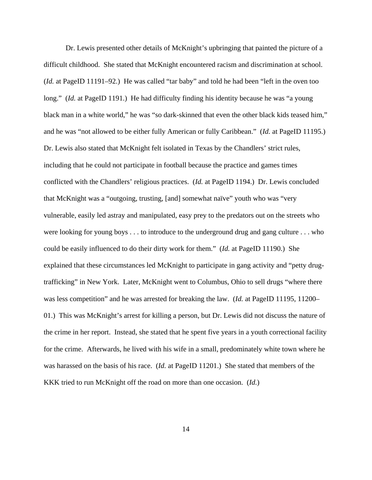Dr. Lewis presented other details of McKnight's upbringing that painted the picture of a difficult childhood. She stated that McKnight encountered racism and discrimination at school. (*Id.* at PageID 11191–92.) He was called "tar baby" and told he had been "left in the oven too long." *(Id.* at PageID 1191.) He had difficulty finding his identity because he was "a young black man in a white world," he was "so dark-skinned that even the other black kids teased him," and he was "not allowed to be either fully American or fully Caribbean." (*Id.* at PageID 11195.) Dr. Lewis also stated that McKnight felt isolated in Texas by the Chandlers' strict rules, including that he could not participate in football because the practice and games times conflicted with the Chandlers' religious practices. (*Id.* at PageID 1194.) Dr. Lewis concluded that McKnight was a "outgoing, trusting, [and] somewhat naïve" youth who was "very vulnerable, easily led astray and manipulated, easy prey to the predators out on the streets who were looking for young boys . . . to introduce to the underground drug and gang culture . . . who could be easily influenced to do their dirty work for them." (*Id.* at PageID 11190.) She explained that these circumstances led McKnight to participate in gang activity and "petty drugtrafficking" in New York. Later, McKnight went to Columbus, Ohio to sell drugs "where there was less competition" and he was arrested for breaking the law. (*Id.* at PageID 11195, 11200– 01.) This was McKnight's arrest for killing a person, but Dr. Lewis did not discuss the nature of the crime in her report. Instead, she stated that he spent five years in a youth correctional facility for the crime. Afterwards, he lived with his wife in a small, predominately white town where he was harassed on the basis of his race. (*Id.* at PageID 11201.) She stated that members of the KKK tried to run McKnight off the road on more than one occasion. (*Id.*)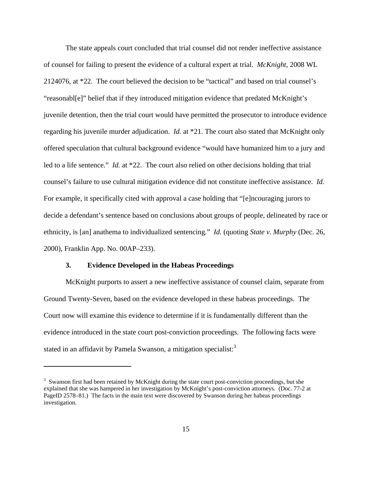The state appeals court concluded that trial counsel did not render ineffective assistance of counsel for failing to present the evidence of a cultural expert at trial. *McKnight*, 2008 WL 2124076, at \*22. The court believed the decision to be "tactical" and based on trial counsel's "reasonabl[e]" belief that if they introduced mitigation evidence that predated McKnight's juvenile detention, then the trial court would have permitted the prosecutor to introduce evidence regarding his juvenile murder adjudication. *Id.* at \*21. The court also stated that McKnight only offered speculation that cultural background evidence "would have humanized him to a jury and led to a life sentence." *Id.* at \*22. The court also relied on other decisions holding that trial counsel's failure to use cultural mitigation evidence did not constitute ineffective assistance. *Id.* For example, it specifically cited with approval a case holding that "[e]ncouraging jurors to decide a defendant's sentence based on conclusions about groups of people, delineated by race or ethnicity, is [an] anathema to individualized sentencing." *Id.* (quoting *State v. Murphy* (Dec. 26, 2000), Franklin App. No. 00AP–233).

## **3. Evidence Developed in the Habeas Proceedings**

<u>.</u>

 McKnight purports to assert a new ineffective assistance of counsel claim, separate from Ground Twenty-Seven, based on the evidence developed in these habeas proceedings. The Court now will examine this evidence to determine if it is fundamentally different than the evidence introduced in the state court post-conviction proceedings. The following facts were stated in an affidavit by Pamela Swanson, a mitigation specialist:<sup>3</sup>

<sup>&</sup>lt;sup>3</sup> Swanson first had been retained by McKnight during the state court post-conviction proceedings, but she explained that she was hampered in her investigation by McKnight's post-conviction attorneys. (Doc. 77-2 at PageID 2578–81.) The facts in the main text were discovered by Swanson during her habeas proceedings investigation.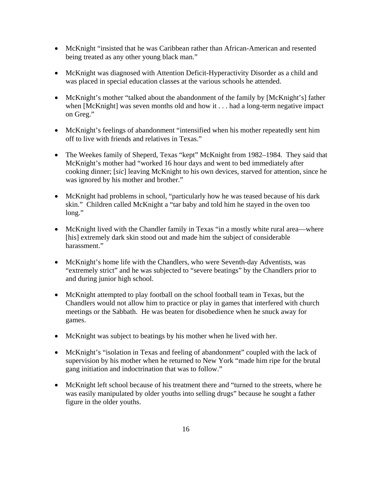- McKnight "insisted that he was Caribbean rather than African-American and resented being treated as any other young black man."
- McKnight was diagnosed with Attention Deficit-Hyperactivity Disorder as a child and was placed in special education classes at the various schools he attended.
- McKnight's mother "talked about the abandonment of the family by [McKnight's] father when [McKnight] was seven months old and how it . . . had a long-term negative impact on Greg."
- McKnight's feelings of abandonment "intensified when his mother repeatedly sent him off to live with friends and relatives in Texas."
- The Weekes family of Sheperd, Texas "kept" McKnight from 1982–1984. They said that McKnight's mother had "worked 16 hour days and went to bed immediately after cooking dinner; [*sic*] leaving McKnight to his own devices, starved for attention, since he was ignored by his mother and brother."
- McKnight had problems in school, "particularly how he was teased because of his dark skin." Children called McKnight a "tar baby and told him he stayed in the oven too long."
- McKnight lived with the Chandler family in Texas "in a mostly white rural area—where [his] extremely dark skin stood out and made him the subject of considerable harassment."
- McKnight's home life with the Chandlers, who were Seventh-day Adventists, was "extremely strict" and he was subjected to "severe beatings" by the Chandlers prior to and during junior high school.
- McKnight attempted to play football on the school football team in Texas, but the Chandlers would not allow him to practice or play in games that interfered with church meetings or the Sabbath. He was beaten for disobedience when he snuck away for games.
- McKnight was subject to beatings by his mother when he lived with her.
- McKnight's "isolation in Texas and feeling of abandonment" coupled with the lack of supervision by his mother when he returned to New York "made him ripe for the brutal gang initiation and indoctrination that was to follow."
- McKnight left school because of his treatment there and "turned to the streets, where he was easily manipulated by older youths into selling drugs" because he sought a father figure in the older youths.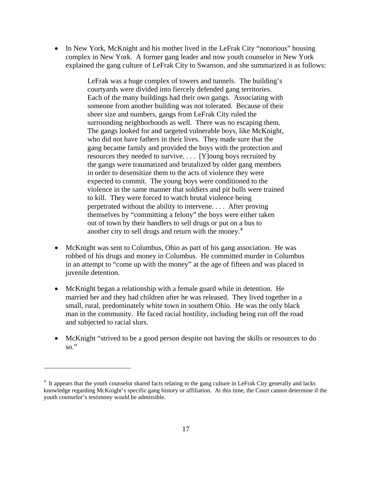• In New York, McKnight and his mother lived in the LeFrak City "notorious" housing complex in New York. A former gang leader and now youth counselor in New York explained the gang culture of LeFrak City to Swanson, and she summarized it as follows:

> LeFrak was a huge complex of towers and tunnels. The building's courtyards were divided into fiercely defended gang territories. Each of the many buildings had their own gangs. Associating with someone from another building was not tolerated. Because of their sheer size and numbers, gangs from LeFrak City ruled the surrounding neighborhoods as well. There was no escaping them. The gangs looked for and targeted vulnerable boys, like McKnight, who did not have fathers in their lives. They made sure that the gang became family and provided the boys with the protection and resources they needed to survive. . . . [Y]oung boys recruited by the gangs were traumatized and brutalized by older gang members in order to desensitize them to the acts of violence they were expected to commit. The young boys were conditioned to the violence in the same manner that soldiers and pit bulls were trained to kill. They were forced to watch brutal violence being perpetrated without the ability to intervene. . . . After proving themselves by "committing a felony" the boys were either taken out of town by their handlers to sell drugs or put on a bus to another city to sell drugs and return with the money.<sup>4</sup>

- McKnight was sent to Columbus, Ohio as part of his gang association. He was robbed of his drugs and money in Columbus. He committed murder in Columbus in an attempt to "come up with the money" at the age of fifteen and was placed in juvenile detention.
- McKnight began a relationship with a female guard while in detention. He married her and they had children after he was released. They lived together in a small, rural, predominately white town in southern Ohio. He was the only black man in the community. He faced racial hostility, including being run off the road and subjected to racial slurs.
- McKnight "strived to be a good person despite not having the skills or resources to do so."

 $\overline{a}$ 

<sup>&</sup>lt;sup>4</sup> It appears that the youth counselor shared facts relating to the gang culture in LeFrak City generally and lacks knowledge regarding McKnight's specific gang history or affiliation. At this time, the Court cannot determine if the youth counselor's testimony would be admissible.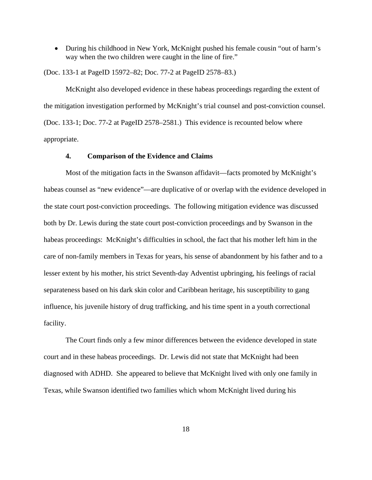During his childhood in New York, McKnight pushed his female cousin "out of harm's way when the two children were caught in the line of fire."

(Doc. 133-1 at PageID 15972–82; Doc. 77-2 at PageID 2578–83.)

 McKnight also developed evidence in these habeas proceedings regarding the extent of the mitigation investigation performed by McKnight's trial counsel and post-conviction counsel. (Doc. 133-1; Doc. 77-2 at PageID 2578–2581.) This evidence is recounted below where appropriate.

## **4. Comparison of the Evidence and Claims**

 Most of the mitigation facts in the Swanson affidavit—facts promoted by McKnight's habeas counsel as "new evidence"—are duplicative of or overlap with the evidence developed in the state court post-conviction proceedings. The following mitigation evidence was discussed both by Dr. Lewis during the state court post-conviction proceedings and by Swanson in the habeas proceedings: McKnight's difficulties in school, the fact that his mother left him in the care of non-family members in Texas for years, his sense of abandonment by his father and to a lesser extent by his mother, his strict Seventh-day Adventist upbringing, his feelings of racial separateness based on his dark skin color and Caribbean heritage, his susceptibility to gang influence, his juvenile history of drug trafficking, and his time spent in a youth correctional facility.

 The Court finds only a few minor differences between the evidence developed in state court and in these habeas proceedings. Dr. Lewis did not state that McKnight had been diagnosed with ADHD. She appeared to believe that McKnight lived with only one family in Texas, while Swanson identified two families which whom McKnight lived during his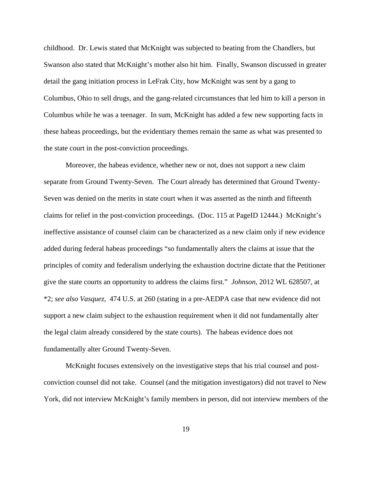childhood. Dr. Lewis stated that McKnight was subjected to beating from the Chandlers, but Swanson also stated that McKnight's mother also hit him. Finally, Swanson discussed in greater detail the gang initiation process in LeFrak City, how McKnight was sent by a gang to Columbus, Ohio to sell drugs, and the gang-related circumstances that led him to kill a person in Columbus while he was a teenager. In sum, McKnight has added a few new supporting facts in these habeas proceedings, but the evidentiary themes remain the same as what was presented to the state court in the post-conviction proceedings.

 Moreover, the habeas evidence, whether new or not, does not support a new claim separate from Ground Twenty-Seven. The Court already has determined that Ground Twenty-Seven was denied on the merits in state court when it was asserted as the ninth and fifteenth claims for relief in the post-conviction proceedings. (Doc. 115 at PageID 12444.) McKnight's ineffective assistance of counsel claim can be characterized as a new claim only if new evidence added during federal habeas proceedings "so fundamentally alters the claims at issue that the principles of comity and federalism underlying the exhaustion doctrine dictate that the Petitioner give the state courts an opportunity to address the claims first." *Johnson*, 2012 WL 628507, at \*2; *see also Vasquez*, 474 U.S. at 260 (stating in a pre-AEDPA case that new evidence did not support a new claim subject to the exhaustion requirement when it did not fundamentally alter the legal claim already considered by the state courts). The habeas evidence does not fundamentally alter Ground Twenty-Seven.

 McKnight focuses extensively on the investigative steps that his trial counsel and postconviction counsel did not take. Counsel (and the mitigation investigators) did not travel to New York, did not interview McKnight's family members in person, did not interview members of the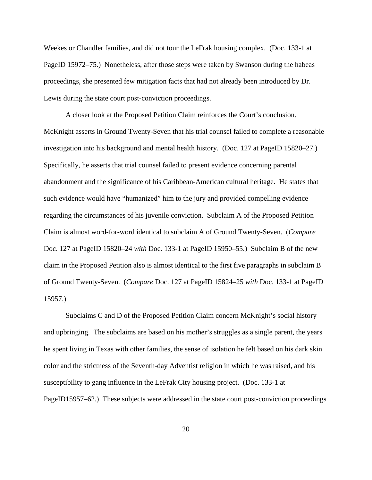Weekes or Chandler families, and did not tour the LeFrak housing complex. (Doc. 133-1 at PageID 15972–75.) Nonetheless, after those steps were taken by Swanson during the habeas proceedings, she presented few mitigation facts that had not already been introduced by Dr. Lewis during the state court post-conviction proceedings.

 A closer look at the Proposed Petition Claim reinforces the Court's conclusion. McKnight asserts in Ground Twenty-Seven that his trial counsel failed to complete a reasonable investigation into his background and mental health history. (Doc. 127 at PageID 15820–27.) Specifically, he asserts that trial counsel failed to present evidence concerning parental abandonment and the significance of his Caribbean-American cultural heritage. He states that such evidence would have "humanized" him to the jury and provided compelling evidence regarding the circumstances of his juvenile conviction. Subclaim A of the Proposed Petition Claim is almost word-for-word identical to subclaim A of Ground Twenty-Seven. (*Compare* Doc. 127 at PageID 15820–24 *with* Doc. 133-1 at PageID 15950–55.) Subclaim B of the new claim in the Proposed Petition also is almost identical to the first five paragraphs in subclaim B of Ground Twenty-Seven. (*Compare* Doc. 127 at PageID 15824–25 *with* Doc. 133-1 at PageID 15957.)

 Subclaims C and D of the Proposed Petition Claim concern McKnight's social history and upbringing. The subclaims are based on his mother's struggles as a single parent, the years he spent living in Texas with other families, the sense of isolation he felt based on his dark skin color and the strictness of the Seventh-day Adventist religion in which he was raised, and his susceptibility to gang influence in the LeFrak City housing project. (Doc. 133-1 at PageID15957–62.) These subjects were addressed in the state court post-conviction proceedings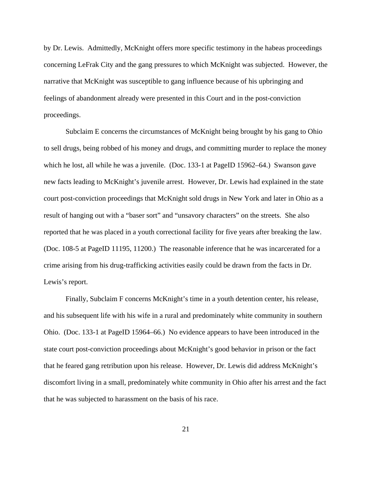by Dr. Lewis. Admittedly, McKnight offers more specific testimony in the habeas proceedings concerning LeFrak City and the gang pressures to which McKnight was subjected. However, the narrative that McKnight was susceptible to gang influence because of his upbringing and feelings of abandonment already were presented in this Court and in the post-conviction proceedings.

 Subclaim E concerns the circumstances of McKnight being brought by his gang to Ohio to sell drugs, being robbed of his money and drugs, and committing murder to replace the money which he lost, all while he was a juvenile. (Doc. 133-1 at PageID 15962–64.) Swanson gave new facts leading to McKnight's juvenile arrest. However, Dr. Lewis had explained in the state court post-conviction proceedings that McKnight sold drugs in New York and later in Ohio as a result of hanging out with a "baser sort" and "unsavory characters" on the streets. She also reported that he was placed in a youth correctional facility for five years after breaking the law. (Doc. 108-5 at PageID 11195, 11200.) The reasonable inference that he was incarcerated for a crime arising from his drug-trafficking activities easily could be drawn from the facts in Dr. Lewis's report.

 Finally, Subclaim F concerns McKnight's time in a youth detention center, his release, and his subsequent life with his wife in a rural and predominately white community in southern Ohio. (Doc. 133-1 at PageID 15964–66.) No evidence appears to have been introduced in the state court post-conviction proceedings about McKnight's good behavior in prison or the fact that he feared gang retribution upon his release. However, Dr. Lewis did address McKnight's discomfort living in a small, predominately white community in Ohio after his arrest and the fact that he was subjected to harassment on the basis of his race.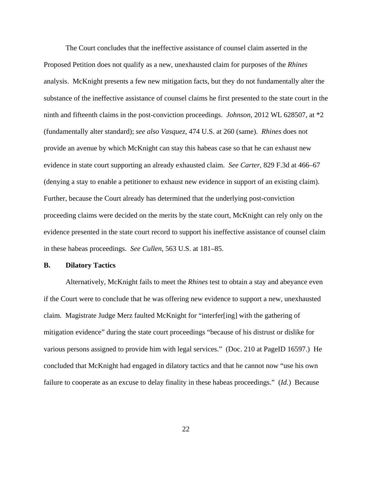The Court concludes that the ineffective assistance of counsel claim asserted in the Proposed Petition does not qualify as a new, unexhausted claim for purposes of the *Rhines* analysis. McKnight presents a few new mitigation facts, but they do not fundamentally alter the substance of the ineffective assistance of counsel claims he first presented to the state court in the ninth and fifteenth claims in the post-conviction proceedings. *Johnson*, 2012 WL 628507, at \*2 (fundamentally alter standard); *see also Vasquez*, 474 U.S. at 260 (same). *Rhines* does not provide an avenue by which McKnight can stay this habeas case so that he can exhaust new evidence in state court supporting an already exhausted claim. *See Carter*, 829 F.3d at 466–67 (denying a stay to enable a petitioner to exhaust new evidence in support of an existing claim). Further, because the Court already has determined that the underlying post-conviction proceeding claims were decided on the merits by the state court, McKnight can rely only on the evidence presented in the state court record to support his ineffective assistance of counsel claim in these habeas proceedings. *See Cullen*, 563 U.S. at 181–85.

## **B. Dilatory Tactics**

 Alternatively, McKnight fails to meet the *Rhines* test to obtain a stay and abeyance even if the Court were to conclude that he was offering new evidence to support a new, unexhausted claim. Magistrate Judge Merz faulted McKnight for "interfer[ing] with the gathering of mitigation evidence" during the state court proceedings "because of his distrust or dislike for various persons assigned to provide him with legal services." (Doc. 210 at PageID 16597.) He concluded that McKnight had engaged in dilatory tactics and that he cannot now "use his own failure to cooperate as an excuse to delay finality in these habeas proceedings." (*Id.*) Because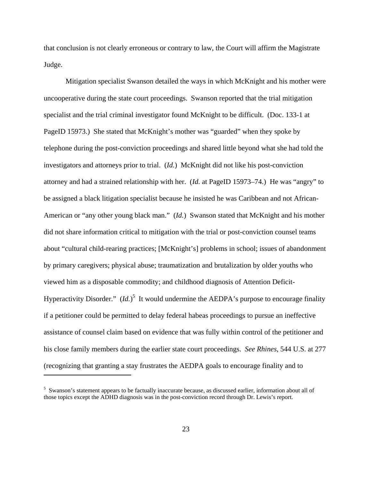that conclusion is not clearly erroneous or contrary to law, the Court will affirm the Magistrate Judge.

 Mitigation specialist Swanson detailed the ways in which McKnight and his mother were uncooperative during the state court proceedings. Swanson reported that the trial mitigation specialist and the trial criminal investigator found McKnight to be difficult. (Doc. 133-1 at PageID 15973.) She stated that McKnight's mother was "guarded" when they spoke by telephone during the post-conviction proceedings and shared little beyond what she had told the investigators and attorneys prior to trial. (*Id.*) McKnight did not like his post-conviction attorney and had a strained relationship with her. (*Id.* at PageID 15973–74.) He was "angry" to be assigned a black litigation specialist because he insisted he was Caribbean and not African-American or "any other young black man." (*Id.*) Swanson stated that McKnight and his mother did not share information critical to mitigation with the trial or post-conviction counsel teams about "cultural child-rearing practices; [McKnight's] problems in school; issues of abandonment by primary caregivers; physical abuse; traumatization and brutalization by older youths who viewed him as a disposable commodity; and childhood diagnosis of Attention Deficit-Hyperactivity Disorder." (*Id.*)<sup>5</sup> It would undermine the AEDPA's purpose to encourage finality if a petitioner could be permitted to delay federal habeas proceedings to pursue an ineffective assistance of counsel claim based on evidence that was fully within control of the petitioner and his close family members during the earlier state court proceedings. *See Rhines*, 544 U.S. at 277 (recognizing that granting a stay frustrates the AEDPA goals to encourage finality and to

<u>.</u>

<sup>&</sup>lt;sup>5</sup> Swanson's statement appears to be factually inaccurate because, as discussed earlier, information about all of those topics except the ADHD diagnosis was in the post-conviction record through Dr. Lewis's report.